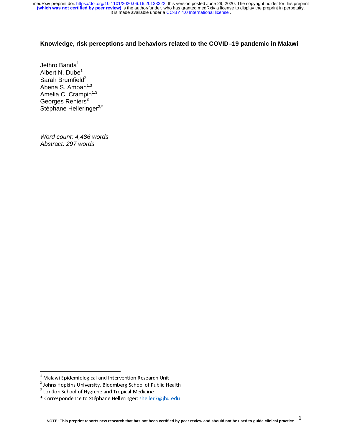## **Knowledge, risk perceptions and behaviors related to the COVID–19 pandemic in Malawi**

Jethro Banda $^1$ Albert N. Dube<sup>1</sup> Sarah Brumfield $^2$ Abena S. Amoah $1,3$ Amelia C. Crampin<sup>1,3</sup> Georges Reniers<sup>3</sup> Stéphane Helleringer<sup>2,\*</sup>

*Word count: 4,486 words Abstract: 297 words*

 $\overline{a}$ 

a malawi Epidemiological and Intervention Research Only<br><sup>2</sup> Johns Hopkins University, Bloomberg School of Public He

<sup>3</sup> Johns Hopkins University, Bloomberg School of Public Health<br><sup>3</sup> London School of Hygiene and Tropical Medicine London School of Hygiene and Tropical Medicine

<sup>\*</sup> Correspondence to Stéphane Helleringer: sheller7@jhu.edu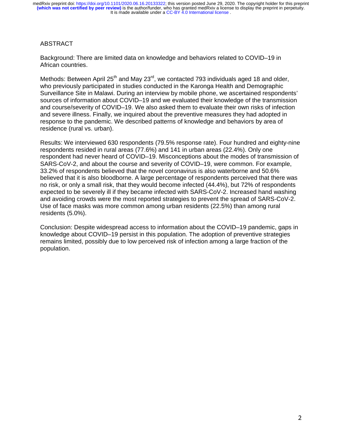It is made available under a CC-BY 4.0 International license. **(which was not certified by peer review)** is the author/funder, who has granted medRxiv a license to display the preprint in perpetuity. medRxiv preprint doi: [https://doi.org/10.1101/2020.06.16.20133322;](https://doi.org/10.1101/2020.06.16.20133322) this version posted June 29, 2020. The copyright holder for this preprint

## ABSTRACT

Background: There are limited data on knowledge and behaviors related to COVID–19 in African countries.

Methods: Between April  $25<sup>th</sup>$  and May  $23<sup>rd</sup>$ , we contacted 793 individuals aged 18 and older, who previously participated in studies conducted in the Karonga Health and Demographic Surveillance Site in Malawi. During an interview by mobile phone, we ascertained respondents' sources of information about COVID–19 and we evaluated their knowledge of the transmission and course/severity of COVID–19. We also asked them to evaluate their own risks of infection and severe illness. Finally, we inquired about the preventive measures they had adopted in response to the pandemic. We described patterns of knowledge and behaviors by area of residence (rural vs. urban).

Results: We interviewed 630 respondents (79.5% response rate). Four hundred and eighty-nine respondents resided in rural areas (77.6%) and 141 in urban areas (22.4%). Only one respondent had never heard of COVID–19. Misconceptions about the modes of transmission of SARS-CoV-2, and about the course and severity of COVID–19, were common. For example, 33.2% of respondents believed that the novel coronavirus is also waterborne and 50.6% believed that it is also bloodborne. A large percentage of respondents perceived that there was no risk, or only a small risk, that they would become infected (44.4%), but 72% of respondents expected to be severely ill if they became infected with SARS-CoV-2. Increased hand washing and avoiding crowds were the most reported strategies to prevent the spread of SARS-CoV-2. Use of face masks was more common among urban residents (22.5%) than among rural residents (5.0%).

Conclusion: Despite widespread access to information about the COVID–19 pandemic, gaps in knowledge about COVID–19 persist in this population. The adoption of preventive strategies remains limited, possibly due to low perceived risk of infection among a large fraction of the population.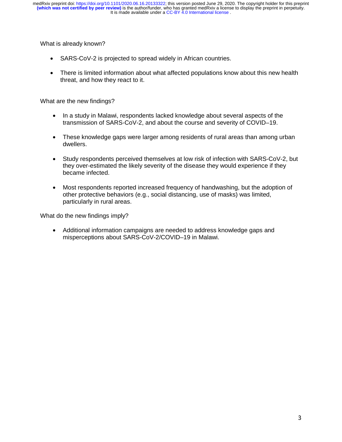What is already known?

- SARS-CoV-2 is projected to spread widely in African countries.
- There is limited information about what affected populations know about this new health threat, and how they react to it.

What are the new findings?

- In a study in Malawi, respondents lacked knowledge about several aspects of the transmission of SARS-CoV-2, and about the course and severity of COVID–19.
- These knowledge gaps were larger among residents of rural areas than among urban dwellers.
- Study respondents perceived themselves at low risk of infection with SARS-CoV-2, but they over-estimated the likely severity of the disease they would experience if they became infected.
- Most respondents reported increased frequency of handwashing, but the adoption of other protective behaviors (e.g., social distancing, use of masks) was limited, particularly in rural areas.

What do the new findings imply?

• Additional information campaigns are needed to address knowledge gaps and misperceptions about SARS-CoV-2/COVID–19 in Malawi.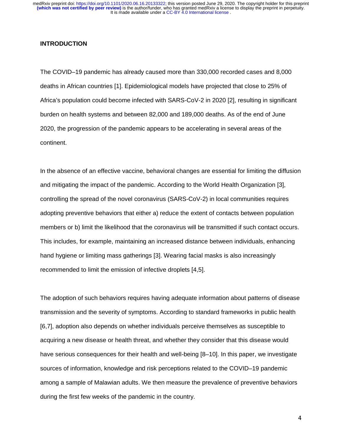#### **INTRODUCTION**

The COVID–19 pandemic has already caused more than 330,000 recorded cases and 8,000 deaths in African countries [1]. Epidemiological models have projected that close to 25% of Africa's population could become infected with SARS-CoV-2 in 2020 [2], resulting in significant burden on health systems and between 82,000 and 189,000 deaths. As of the end of June 2020, the progression of the pandemic appears to be accelerating in several areas of the continent.

In the absence of an effective vaccine, behavioral changes are essential for limiting the diffusion and mitigating the impact of the pandemic. According to the World Health Organization [3], controlling the spread of the novel coronavirus (SARS-CoV-2) in local communities requires adopting preventive behaviors that either a) reduce the extent of contacts between population members or b) limit the likelihood that the coronavirus will be transmitted if such contact occurs. This includes, for example, maintaining an increased distance between individuals, enhancing hand hygiene or limiting mass gatherings [3]. Wearing facial masks is also increasingly recommended to limit the emission of infective droplets [4,5].

The adoption of such behaviors requires having adequate information about patterns of disease transmission and the severity of symptoms. According to standard frameworks in public health [6,7], adoption also depends on whether individuals perceive themselves as susceptible to acquiring a new disease or health threat, and whether they consider that this disease would have serious consequences for their health and well-being [8–10]. In this paper, we investigate sources of information, knowledge and risk perceptions related to the COVID–19 pandemic among a sample of Malawian adults. We then measure the prevalence of preventive behaviors during the first few weeks of the pandemic in the country.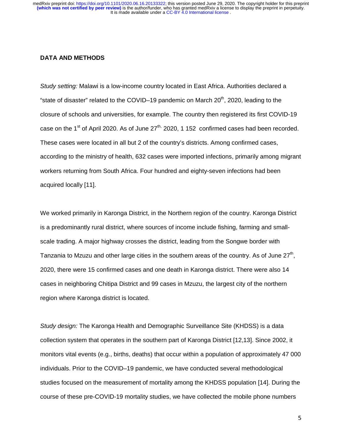#### **DATA AND METHODS**

*Study setting:* Malawi is a low-income country located in East Africa. Authorities declared a "state of disaster" related to the COVID–19 pandemic on March  $20<sup>th</sup>$ , 2020, leading to the closure of schools and universities, for example. The country then registered its first COVID-19 case on the 1<sup>st</sup> of April 2020. As of June  $27<sup>th</sup>$ , 2020, 1 152 confirmed cases had been recorded. These cases were located in all but 2 of the country's districts. Among confirmed cases, according to the ministry of health, 632 cases were imported infections, primarily among migrant workers returning from South Africa. Four hundred and eighty-seven infections had been acquired locally [11].

We worked primarily in Karonga District, in the Northern region of the country. Karonga District is a predominantly rural district, where sources of income include fishing, farming and smallscale trading. A major highway crosses the district, leading from the Songwe border with Tanzania to Mzuzu and other large cities in the southern areas of the country. As of June  $27<sup>th</sup>$ , 2020, there were 15 confirmed cases and one death in Karonga district. There were also 14 cases in neighboring Chitipa District and 99 cases in Mzuzu, the largest city of the northern region where Karonga district is located.

*Study design:* The Karonga Health and Demographic Surveillance Site (KHDSS) is a data collection system that operates in the southern part of Karonga District [12,13]. Since 2002, it monitors vital events (e.g., births, deaths) that occur within a population of approximately 47 000 individuals. Prior to the COVID–19 pandemic, we have conducted several methodological studies focused on the measurement of mortality among the KHDSS population [14]. During the course of these pre-COVID-19 mortality studies, we have collected the mobile phone numbers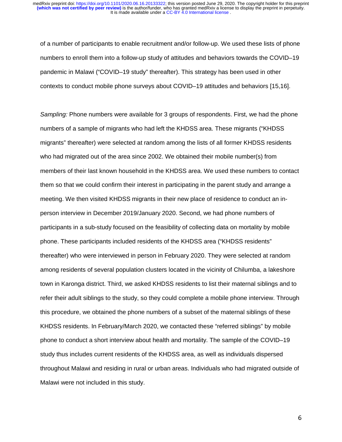of a number of participants to enable recruitment and/or follow-up. We used these lists of phone numbers to enroll them into a follow-up study of attitudes and behaviors towards the COVID–19 pandemic in Malawi ("COVID–19 study" thereafter). This strategy has been used in other contexts to conduct mobile phone surveys about COVID–19 attitudes and behaviors [15,16].

*Sampling:* Phone numbers were available for 3 groups of respondents. First, we had the phone numbers of a sample of migrants who had left the KHDSS area. These migrants ("KHDSS migrants" thereafter) were selected at random among the lists of all former KHDSS residents who had migrated out of the area since 2002. We obtained their mobile number(s) from members of their last known household in the KHDSS area. We used these numbers to contact them so that we could confirm their interest in participating in the parent study and arrange a meeting. We then visited KHDSS migrants in their new place of residence to conduct an inperson interview in December 2019/January 2020. Second, we had phone numbers of participants in a sub-study focused on the feasibility of collecting data on mortality by mobile phone. These participants included residents of the KHDSS area ("KHDSS residents" thereafter) who were interviewed in person in February 2020. They were selected at random among residents of several population clusters located in the vicinity of Chilumba, a lakeshore town in Karonga district. Third, we asked KHDSS residents to list their maternal siblings and to refer their adult siblings to the study, so they could complete a mobile phone interview. Through this procedure, we obtained the phone numbers of a subset of the maternal siblings of these KHDSS residents. In February/March 2020, we contacted these "referred siblings" by mobile phone to conduct a short interview about health and mortality. The sample of the COVID–19 study thus includes current residents of the KHDSS area, as well as individuals dispersed throughout Malawi and residing in rural or urban areas. Individuals who had migrated outside of Malawi were not included in this study.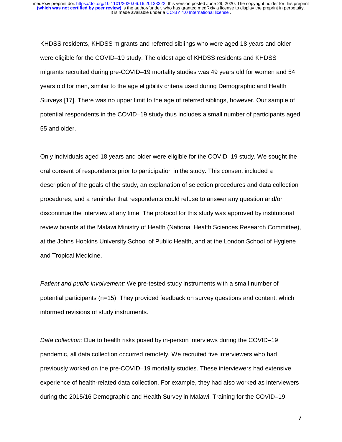KHDSS residents, KHDSS migrants and referred siblings who were aged 18 years and older were eligible for the COVID–19 study. The oldest age of KHDSS residents and KHDSS migrants recruited during pre-COVID–19 mortality studies was 49 years old for women and 54 years old for men, similar to the age eligibility criteria used during Demographic and Health Surveys [17]. There was no upper limit to the age of referred siblings, however. Our sample of potential respondents in the COVID–19 study thus includes a small number of participants aged 55 and older.

Only individuals aged 18 years and older were eligible for the COVID–19 study. We sought the oral consent of respondents prior to participation in the study. This consent included a description of the goals of the study, an explanation of selection procedures and data collection procedures, and a reminder that respondents could refuse to answer any question and/or discontinue the interview at any time. The protocol for this study was approved by institutional review boards at the Malawi Ministry of Health (National Health Sciences Research Committee), at the Johns Hopkins University School of Public Health, and at the London School of Hygiene and Tropical Medicine.

*Patient and public involvement:* We pre-tested study instruments with a small number of potential participants (n=15). They provided feedback on survey questions and content, which informed revisions of study instruments.

*Data collection:* Due to health risks posed by in-person interviews during the COVID–19 pandemic, all data collection occurred remotely. We recruited five interviewers who had previously worked on the pre-COVID–19 mortality studies. These interviewers had extensive experience of health-related data collection. For example, they had also worked as interviewers during the 2015/16 Demographic and Health Survey in Malawi. Training for the COVID–19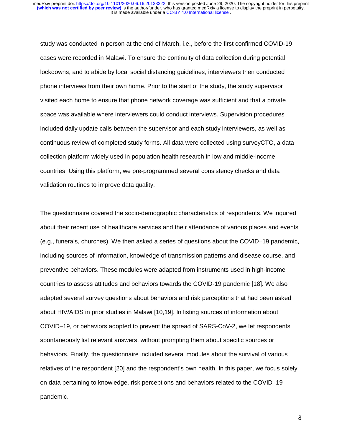study was conducted in person at the end of March, i.e., before the first confirmed COVID-19 cases were recorded in Malawi. To ensure the continuity of data collection during potential lockdowns, and to abide by local social distancing guidelines, interviewers then conducted phone interviews from their own home. Prior to the start of the study, the study supervisor visited each home to ensure that phone network coverage was sufficient and that a private space was available where interviewers could conduct interviews. Supervision procedures included daily update calls between the supervisor and each study interviewers, as well as continuous review of completed study forms. All data were collected using surveyCTO, a data collection platform widely used in population health research in low and middle-income countries. Using this platform, we pre-programmed several consistency checks and data validation routines to improve data quality.

The questionnaire covered the socio-demographic characteristics of respondents. We inquired about their recent use of healthcare services and their attendance of various places and events (e.g., funerals, churches). We then asked a series of questions about the COVID–19 pandemic, including sources of information, knowledge of transmission patterns and disease course, and preventive behaviors. These modules were adapted from instruments used in high-income countries to assess attitudes and behaviors towards the COVID-19 pandemic [18]. We also adapted several survey questions about behaviors and risk perceptions that had been asked about HIV/AIDS in prior studies in Malawi [10,19]. In listing sources of information about COVID–19, or behaviors adopted to prevent the spread of SARS-CoV-2, we let respondents spontaneously list relevant answers, without prompting them about specific sources or behaviors. Finally, the questionnaire included several modules about the survival of various relatives of the respondent [20] and the respondent's own health. In this paper, we focus solely on data pertaining to knowledge, risk perceptions and behaviors related to the COVID–19 pandemic.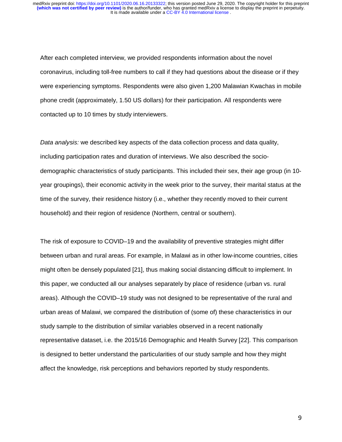After each completed interview, we provided respondents information about the novel coronavirus, including toll-free numbers to call if they had questions about the disease or if they were experiencing symptoms. Respondents were also given 1,200 Malawian Kwachas in mobile phone credit (approximately, 1.50 US dollars) for their participation. All respondents were contacted up to 10 times by study interviewers.

*Data analysis:* we described key aspects of the data collection process and data quality, including participation rates and duration of interviews. We also described the sociodemographic characteristics of study participants. This included their sex, their age group (in 10 year groupings), their economic activity in the week prior to the survey, their marital status at the time of the survey, their residence history (i.e., whether they recently moved to their current household) and their region of residence (Northern, central or southern).

The risk of exposure to COVID–19 and the availability of preventive strategies might differ between urban and rural areas. For example, in Malawi as in other low-income countries, cities might often be densely populated [21], thus making social distancing difficult to implement. In this paper, we conducted all our analyses separately by place of residence (urban vs. rural areas). Although the COVID–19 study was not designed to be representative of the rural and urban areas of Malawi, we compared the distribution of (some of) these characteristics in our study sample to the distribution of similar variables observed in a recent nationally representative dataset, i.e. the 2015/16 Demographic and Health Survey [22]. This comparison is designed to better understand the particularities of our study sample and how they might affect the knowledge, risk perceptions and behaviors reported by study respondents.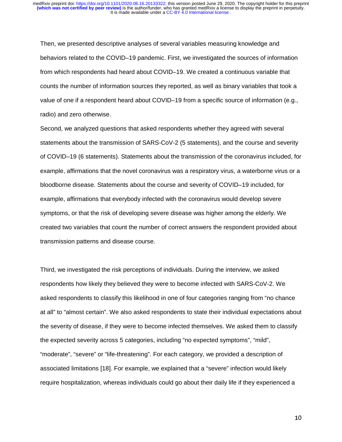Then, we presented descriptive analyses of several variables measuring knowledge and behaviors related to the COVID–19 pandemic. First, we investigated the sources of information from which respondents had heard about COVID–19. We created a continuous variable that counts the number of information sources they reported, as well as binary variables that took a value of one if a respondent heard about COVID–19 from a specific source of information (e.g., radio) and zero otherwise.

Second, we analyzed questions that asked respondents whether they agreed with several statements about the transmission of SARS-CoV-2 (5 statements), and the course and severity of COVID–19 (6 statements). Statements about the transmission of the coronavirus included, for example, affirmations that the novel coronavirus was a respiratory virus, a waterborne virus or a bloodborne disease. Statements about the course and severity of COVID–19 included, for example, affirmations that everybody infected with the coronavirus would develop severe symptoms, or that the risk of developing severe disease was higher among the elderly. We created two variables that count the number of correct answers the respondent provided about transmission patterns and disease course.

Third, we investigated the risk perceptions of individuals. During the interview, we asked respondents how likely they believed they were to become infected with SARS-CoV-2. We asked respondents to classify this likelihood in one of four categories ranging from "no chance at all" to "almost certain". We also asked respondents to state their individual expectations about the severity of disease, if they were to become infected themselves. We asked them to classify the expected severity across 5 categories, including "no expected symptoms", "mild", "moderate", "severe" or "life-threatening". For each category, we provided a description of associated limitations [18]. For example, we explained that a "severe" infection would likely require hospitalization, whereas individuals could go about their daily life if they experienced a

10 million and the control of the control of the control of the control of the control of the control of the c<br>10 million and the control of the control of the control of the control of the control of the control of the c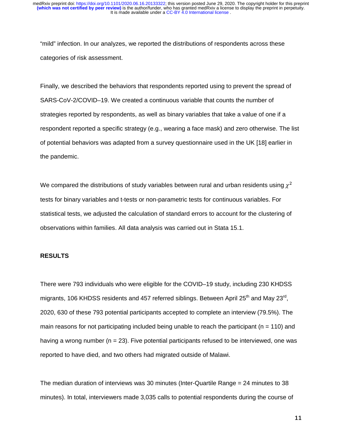"mild" infection. In our analyzes, we reported the distributions of respondents across these categories of risk assessment.

Finally, we described the behaviors that respondents reported using to prevent the spread of SARS-CoV-2/COVID–19. We created a continuous variable that counts the number of strategies reported by respondents, as well as binary variables that take a value of one if a respondent reported a specific strategy (e.g., wearing a face mask) and zero otherwise. The list of potential behaviors was adapted from a survey questionnaire used in the UK [18] earlier in the pandemic.

We compared the distributions of study variables between rural and urban residents using  $\chi^2$ tests for binary variables and t-tests or non-parametric tests for continuous variables. For statistical tests, we adjusted the calculation of standard errors to account for the clustering of observations within families. All data analysis was carried out in Stata 15.1.

### **RESULTS**

There were 793 individuals who were eligible for the COVID–19 study, including 230 KHDSS migrants, 106 KHDSS residents and 457 referred siblings. Between April  $25<sup>th</sup>$  and May  $23<sup>rd</sup>$ . 2020, 630 of these 793 potential participants accepted to complete an interview (79.5%). The main reasons for not participating included being unable to reach the participant ( $n = 110$ ) and having a wrong number ( $n = 23$ ). Five potential participants refused to be interviewed, one was reported to have died, and two others had migrated outside of Malawi.

The median duration of interviews was 30 minutes (Inter-Quartile Range = 24 minutes to 38 minutes). In total, interviewers made 3,035 calls to potential respondents during the course of

111 - Andrew Maria (1911), a che alla contratta della contratta della contratta della contratta della contratt<br>111 - Andrew Maria (1911), a che alla contratta della contratta della contratta della contratta della contratt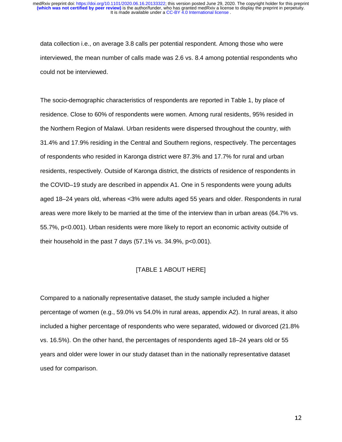data collection i.e., on average 3.8 calls per potential respondent. Among those who were interviewed, the mean number of calls made was 2.6 vs. 8.4 among potential respondents who could not be interviewed.

The socio-demographic characteristics of respondents are reported in Table 1, by place of residence. Close to 60% of respondents were women. Among rural residents, 95% resided in the Northern Region of Malawi. Urban residents were dispersed throughout the country, with 31.4% and 17.9% residing in the Central and Southern regions, respectively. The percentages of respondents who resided in Karonga district were 87.3% and 17.7% for rural and urban residents, respectively. Outside of Karonga district, the districts of residence of respondents in the COVID–19 study are described in appendix A1. One in 5 respondents were young adults aged 18–24 years old, whereas <3% were adults aged 55 years and older. Respondents in rural areas were more likely to be married at the time of the interview than in urban areas (64.7% vs. 55.7%, p<0.001). Urban residents were more likely to report an economic activity outside of their household in the past 7 days  $(57.1\% \text{ vs. } 34.9\%, \text{ p} < 0.001)$ .

#### [TABLE 1 ABOUT HERE]

Compared to a nationally representative dataset, the study sample included a higher percentage of women (e.g., 59.0% vs 54.0% in rural areas, appendix A2). In rural areas, it also included a higher percentage of respondents who were separated, widowed or divorced (21.8% vs. 16.5%). On the other hand, the percentages of respondents aged 18–24 years old or 55 years and older were lower in our study dataset than in the nationally representative dataset used for comparison.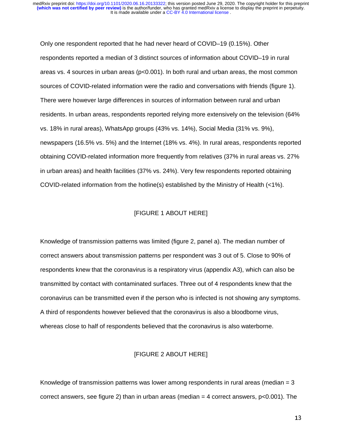Only one respondent reported that he had never heard of COVID–19 (0.15%). Other respondents reported a median of 3 distinct sources of information about COVID–19 in rural areas vs. 4 sources in urban areas ( $p<0.001$ ). In both rural and urban areas, the most common sources of COVID-related information were the radio and conversations with friends (figure 1). There were however large differences in sources of information between rural and urban residents. In urban areas, respondents reported relying more extensively on the television (64% vs. 18% in rural areas), WhatsApp groups (43% vs. 14%), Social Media (31% vs. 9%), newspapers (16.5% vs. 5%) and the Internet (18% vs. 4%). In rural areas, respondents reported obtaining COVID-related information more frequently from relatives (37% in rural areas vs. 27% in urban areas) and health facilities (37% vs. 24%). Very few respondents reported obtaining COVID-related information from the hotline(s) established by the Ministry of Health (<1%).

#### [FIGURE 1 ABOUT HERE]

Knowledge of transmission patterns was limited (figure 2, panel a). The median number of correct answers about transmission patterns per respondent was 3 out of 5. Close to 90% of respondents knew that the coronavirus is a respiratory virus (appendix A3), which can also be transmitted by contact with contaminated surfaces. Three out of 4 respondents knew that the coronavirus can be transmitted even if the person who is infected is not showing any symptoms. A third of respondents however believed that the coronavirus is also a bloodborne virus, whereas close to half of respondents believed that the coronavirus is also waterborne.

## [FIGURE 2 ABOUT HERE]

Knowledge of transmission patterns was lower among respondents in rural areas (median  $= 3$ ) correct answers, see figure 2) than in urban areas (median  $=$  4 correct answers,  $p$ <0.001). The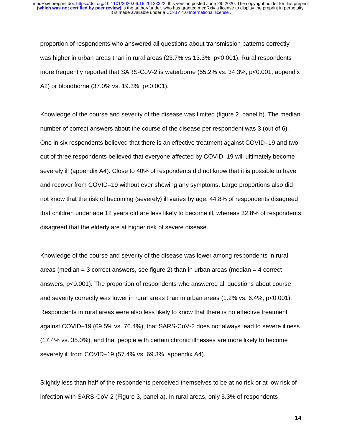proportion of respondents who answered all questions about transmission patterns correctly was higher in urban areas than in rural areas (23.7% vs 13.3%, p<0.001). Rural respondents more frequently reported that SARS-CoV-2 is waterborne (55.2% vs. 34.3%, p<0.001; appendix A2) or bloodborne (37.0% vs. 19.3%, p<0.001).

Knowledge of the course and severity of the disease was limited (figure 2, panel b). The median number of correct answers about the course of the disease per respondent was 3 (out of 6). One in six respondents believed that there is an effective treatment against COVID–19 and two out of three respondents believed that everyone affected by COVID–19 will ultimately become severely ill (appendix A4). Close to 40% of respondents did not know that it is possible to have and recover from COVID–19 without ever showing any symptoms. Large proportions also did not know that the risk of becoming (severely) ill varies by age: 44.8% of respondents disagreed that children under age 12 years old are less likely to become ill, whereas 32.8% of respondents disagreed that the elderly are at higher risk of severe disease.

Knowledge of the course and severity of the disease was lower among respondents in rural areas (median  $=$  3 correct answers, see figure 2) than in urban areas (median  $=$  4 correct answers, p<0.001). The proportion of respondents who answered all questions about course and severity correctly was lower in rural areas than in urban areas (1.2% vs. 6.4%, p<0.001). Respondents in rural areas were also less likely to know that there is no effective treatment against COVID–19 (69.5% vs. 76.4%), that SARS-CoV-2 does not always lead to severe illness (17.4% vs. 35.0%), and that people with certain chronic illnesses are more likely to become severely ill from COVID–19 (57.4% vs. 69.3%, appendix A4).

Slightly less than half of the respondents perceived themselves to be at no risk or at low risk of infection with SARS-CoV-2 (Figure 3, panel a). In rural areas, only 5.3% of respondents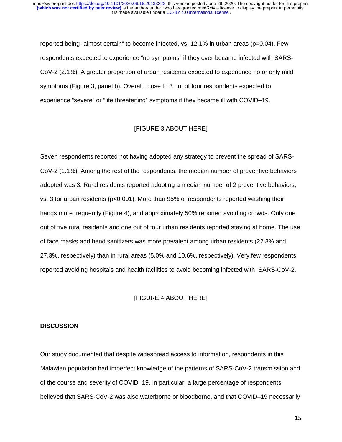reported being "almost certain" to become infected, vs. 12.1% in urban areas (p=0.04). Few respondents expected to experience "no symptoms" if they ever became infected with SARS-CoV-2 (2.1%). A greater proportion of urban residents expected to experience no or only mild symptoms (Figure 3, panel b). Overall, close to 3 out of four respondents expected to experience "severe" or "life threatening" symptoms if they became ill with COVID–19.

#### [FIGURE 3 ABOUT HERE]

Seven respondents reported not having adopted any strategy to prevent the spread of SARS-CoV-2 (1.1%). Among the rest of the respondents, the median number of preventive behaviors adopted was 3. Rural residents reported adopting a median number of 2 preventive behaviors, vs. 3 for urban residents (p<0.001). More than 95% of respondents reported washing their hands more frequently (Figure 4), and approximately 50% reported avoiding crowds. Only one out of five rural residents and one out of four urban residents reported staying at home. The use of face masks and hand sanitizers was more prevalent among urban residents (22.3% and 27.3%, respectively) than in rural areas (5.0% and 10.6%, respectively). Very few respondents reported avoiding hospitals and health facilities to avoid becoming infected with SARS-CoV-2.

## [FIGURE 4 ABOUT HERE]

#### **DISCUSSION**

Our study documented that despite widespread access to information, respondents in this Malawian population had imperfect knowledge of the patterns of SARS-CoV-2 transmission and of the course and severity of COVID–19. In particular, a large percentage of respondents believed that SARS-CoV-2 was also waterborne or bloodborne, and that COVID–19 necessarily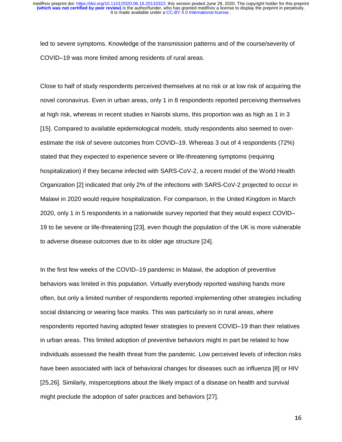led to severe symptoms. Knowledge of the transmission patterns and of the course/severity of COVID–19 was more limited among residents of rural areas.

Close to half of study respondents perceived themselves at no risk or at low risk of acquiring the novel coronavirus. Even in urban areas, only 1 in 8 respondents reported perceiving themselves at high risk, whereas in recent studies in Nairobi slums, this proportion was as high as 1 in 3 [15]. Compared to available epidemiological models, study respondents also seemed to overestimate the risk of severe outcomes from COVID–19. Whereas 3 out of 4 respondents (72%) stated that they expected to experience severe or life-threatening symptoms (requiring hospitalization) if they became infected with SARS-CoV-2, a recent model of the World Health Organization [2] indicated that only 2% of the infections with SARS-CoV-2 projected to occur in Malawi in 2020 would require hospitalization. For comparison, in the United Kingdom in March 2020, only 1 in 5 respondents in a nationwide survey reported that they would expect COVID– 19 to be severe or life-threatening [23], even though the population of the UK is more vulnerable to adverse disease outcomes due to its older age structure [24].

In the first few weeks of the COVID–19 pandemic in Malawi, the adoption of preventive behaviors was limited in this population. Virtually everybody reported washing hands more often, but only a limited number of respondents reported implementing other strategies including social distancing or wearing face masks. This was particularly so in rural areas, where respondents reported having adopted fewer strategies to prevent COVID–19 than their relatives in urban areas. This limited adoption of preventive behaviors might in part be related to how individuals assessed the health threat from the pandemic. Low perceived levels of infection risks have been associated with lack of behavioral changes for diseases such as influenza [8] or HIV [25,26]. Similarly, misperceptions about the likely impact of a disease on health and survival might preclude the adoption of safer practices and behaviors [27].

16 de junho de 1950 e 1960 e 1960 e 1960 e 1960 e 1960 e 1960 e 1960 e 1960 e 1960 e 1960 e 1960 e 1960 e 1960<br>16 de junho de 1960 e 1960 e 1960 e 1960 e 1960 e 1960 e 1960 e 1960 e 1960 e 1960 e 1960 e 1960 e 1960 e 196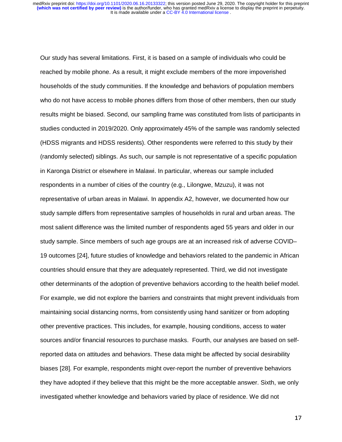Our study has several limitations. First, it is based on a sample of individuals who could be reached by mobile phone. As a result, it might exclude members of the more impoverished households of the study communities. If the knowledge and behaviors of population members who do not have access to mobile phones differs from those of other members, then our study results might be biased. Second, our sampling frame was constituted from lists of participants in studies conducted in 2019/2020. Only approximately 45% of the sample was randomly selected (HDSS migrants and HDSS residents). Other respondents were referred to this study by their (randomly selected) siblings. As such, our sample is not representative of a specific population in Karonga District or elsewhere in Malawi. In particular, whereas our sample included respondents in a number of cities of the country (e.g., Lilongwe, Mzuzu), it was not representative of urban areas in Malawi. In appendix A2, however, we documented how our study sample differs from representative samples of households in rural and urban areas. The most salient difference was the limited number of respondents aged 55 years and older in our study sample. Since members of such age groups are at an increased risk of adverse COVID– 19 outcomes [24], future studies of knowledge and behaviors related to the pandemic in African countries should ensure that they are adequately represented. Third, we did not investigate other determinants of the adoption of preventive behaviors according to the health belief model. For example, we did not explore the barriers and constraints that might prevent individuals from maintaining social distancing norms, from consistently using hand sanitizer or from adopting other preventive practices. This includes, for example, housing conditions, access to water sources and/or financial resources to purchase masks. Fourth, our analyses are based on selfreported data on attitudes and behaviors. These data might be affected by social desirability biases [28]. For example, respondents might over-report the number of preventive behaviors they have adopted if they believe that this might be the more acceptable answer. Sixth, we only investigated whether knowledge and behaviors varied by place of residence. We did not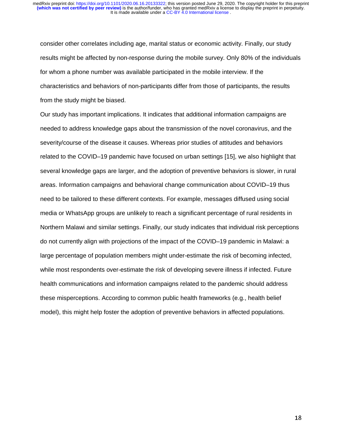consider other correlates including age, marital status or economic activity. Finally, our study results might be affected by non-response during the mobile survey. Only 80% of the individuals for whom a phone number was available participated in the mobile interview. If the characteristics and behaviors of non-participants differ from those of participants, the results from the study might be biased.

Our study has important implications. It indicates that additional information campaigns are needed to address knowledge gaps about the transmission of the novel coronavirus, and the severity/course of the disease it causes. Whereas prior studies of attitudes and behaviors related to the COVID–19 pandemic have focused on urban settings [15], we also highlight that several knowledge gaps are larger, and the adoption of preventive behaviors is slower, in rural areas. Information campaigns and behavioral change communication about COVID–19 thus need to be tailored to these different contexts. For example, messages diffused using social media or WhatsApp groups are unlikely to reach a significant percentage of rural residents in Northern Malawi and similar settings. Finally, our study indicates that individual risk perceptions do not currently align with projections of the impact of the COVID–19 pandemic in Malawi: a large percentage of population members might under-estimate the risk of becoming infected, while most respondents over-estimate the risk of developing severe illness if infected. Future health communications and information campaigns related to the pandemic should address these misperceptions. According to common public health frameworks (e.g., health belief model), this might help foster the adoption of preventive behaviors in affected populations.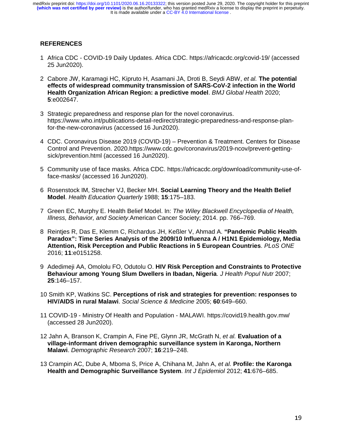# **REFERENCES**

- 1 Africa CDC COVID-19 Daily Updates. Africa CDC. https://africacdc.org/covid-19/ (accessed 25 Jun2020).
- 2 Cabore JW, Karamagi HC, Kipruto H, Asamani JA, Droti B, Seydi ABW, *et al.* **The potential effects of widespread community transmission of SARS-CoV-2 infection in the World Health Organization African Region: a predictive model**. *BMJ Global Health* 2020; **5**:e002647.
- 3 Strategic preparedness and response plan for the novel coronavirus. https://www.who.int/publications-detail-redirect/strategic-preparedness-and-response-planfor-the-new-coronavirus (accessed 16 Jun2020).
- 4 CDC. Coronavirus Disease 2019 (COVID-19) Prevention & Treatment. Centers for Disease Control and Prevention. 2020.https://www.cdc.gov/coronavirus/2019-ncov/prevent-gettingsick/prevention.html (accessed 16 Jun2020).
- 5 Community use of face masks. Africa CDC. https://africacdc.org/download/community-use-offace-masks/ (accessed 16 Jun2020).
- 6 Rosenstock IM, Strecher VJ, Becker MH. **Social Learning Theory and the Health Belief Model**. *Health Education Quarterly* 1988; **15**:175–183.
- 7 Green EC, Murphy E. Health Belief Model. In: *The Wiley Blackwell Encyclopedia of Health, Illness, Behavior, and Society*.American Cancer Society; 2014. pp. 766–769.
- 8 Reintjes R, Das E, Klemm C, Richardus JH, Keßler V, Ahmad A. **"Pandemic Public Health Paradox": Time Series Analysis of the 2009/10 Influenza A / H1N1 Epidemiology, Media Attention, Risk Perception and Public Reactions in 5 European Countries**. *PLoS ONE* 2016; **11**:e0151258.
- 9 Adedimeji AA, Omololu FO, Odutolu O. **HIV Risk Perception and Constraints to Protective Behaviour among Young Slum Dwellers in Ibadan, Nigeria**. *J Health Popul Nutr* 2007; **25**:146–157.
- 10 Smith KP, Watkins SC. **Perceptions of risk and strategies for prevention: responses to HIV/AIDS in rural Malawi**. *Social Science & Medicine* 2005; **60**:649–660.
- 11 COVID-19 Ministry Of Health and Population MALAWI. https://covid19.health.gov.mw/ (accessed 28 Jun2020).
- 12 Jahn A, Branson K, Crampin A, Fine PE, Glynn JR, McGrath N, *et al.* **Evaluation of a village-informant driven demographic surveillance system in Karonga, Northern Malawi**. *Demographic Research* 2007; **16**:219–248.
- 13 Crampin AC, Dube A, Mboma S, Price A, Chihana M, Jahn A, *et al.* **Profile: the Karonga Health and Demographic Surveillance System**. *Int J Epidemiol* 2012; **41**:676–685.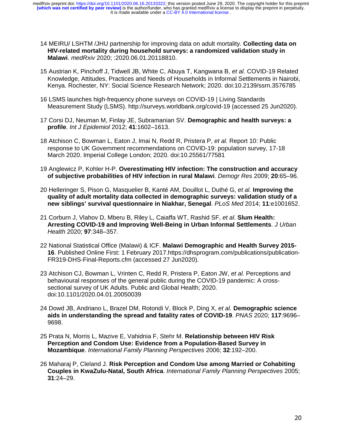It is made available under a CC-BY 4.0 International license. **(which was not certified by peer review)** is the author/funder, who has granted medRxiv a license to display the preprint in perpetuity. medRxiv preprint doi: [https://doi.org/10.1101/2020.06.16.20133322;](https://doi.org/10.1101/2020.06.16.20133322) this version posted June 29, 2020. The copyright holder for this preprint

- 14 MEIRU/ LSHTM /JHU partnership for improving data on adult mortality. **Collecting data on HIV-related mortality during household surveys: a randomized validation study in Malawi**. *medRxiv* 2020; :2020.06.01.20118810.
- 15 Austrian K, Pinchoff J, Tidwell JB, White C, Abuya T, Kangwana B, *et al.* COVID-19 Related Knowledge, Attitudes, Practices and Needs of Households in Informal Settlements in Nairobi, Kenya. Rochester, NY: Social Science Research Network; 2020. doi:10.2139/ssrn.3576785
- 16 LSMS launches high-frequency phone surveys on COVID-19 | Living Standards Measurement Study (LSMS). http://surveys.worldbank.org/covid-19 (accessed 25 Jun2020).
- 17 Corsi DJ, Neuman M, Finlay JE, Subramanian SV. **Demographic and health surveys: a profile**. *Int J Epidemiol* 2012; **41**:1602–1613.
- 18 Atchison C, Bowman L, Eaton J, Imai N, Redd R, Pristera P, *et al.* Report 10: Public response to UK Government recommendations on COVID-19: population survey, 17-18 March 2020. Imperial College London; 2020. doi:10.25561/77581
- 19 Anglewicz P, Kohler H-P. **Overestimating HIV infection: The construction and accuracy of subjective probabilities of HIV infection in rural Malawi**. *Demogr Res* 2009; **20**:65–96.
- 20 Helleringer S, Pison G, Masquelier B, Kanté AM, Douillot L, Duthé G, *et al.* **Improving the quality of adult mortality data collected in demographic surveys: validation study of a new siblings' survival questionnaire in Niakhar, Senegal**. *PLoS Med* 2014; **11**:e1001652.
- 21 Corburn J, Vlahov D, Mberu B, Riley L, Caiaffa WT, Rashid SF, *et al.* **Slum Health: Arresting COVID-19 and Improving Well-Being in Urban Informal Settlements**. *J Urban Health* 2020; **97**:348–357.
- 22 National Statistical Office (Malawi) & ICF. **Malawi Demographic and Health Survey 2015- 16**. Published Online First: 1 February 2017.https://dhsprogram.com/publications/publication-FR319-DHS-Final-Reports.cfm (accessed 27 Jun2020).
- 23 Atchison CJ, Bowman L, Vrinten C, Redd R, Pristera P, Eaton JW, *et al.* Perceptions and behavioural responses of the general public during the COVID-19 pandemic: A crosssectional survey of UK Adults. Public and Global Health; 2020. doi:10.1101/2020.04.01.20050039
- 24 Dowd JB, Andriano L, Brazel DM, Rotondi V, Block P, Ding X, *et al.* **Demographic science aids in understanding the spread and fatality rates of COVID-19**. *PNAS* 2020; **117**:9696– 9698.
- 25 Prata N, Morris L, Mazive E, Vahidnia F, Stehr M. **Relationship between HIV Risk Perception and Condom Use: Evidence from a Population-Based Survey in Mozambique**. *International Family Planning Perspectives* 2006; **32**:192–200.
- 26 Maharaj P, Cleland J. **Risk Perception and Condom Use among Married or Cohabiting Couples in KwaZulu-Natal, South Africa**. *International Family Planning Perspectives* 2005; **31**:24–29.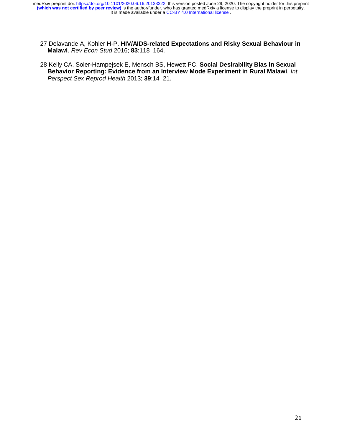- 27 Delavande A, Kohler H-P. **HIV/AIDS-related Expectations and Risky Sexual Behaviour in Malawi**. *Rev Econ Stud* 2016; **83**:118–164.
- 28 Kelly CA, Soler-Hampejsek E, Mensch BS, Hewett PC. **Social Desirability Bias in Sexual Behavior Reporting: Evidence from an Interview Mode Experiment in Rural Malawi**. *Int Perspect Sex Reprod Health* 2013; **39**:14–21.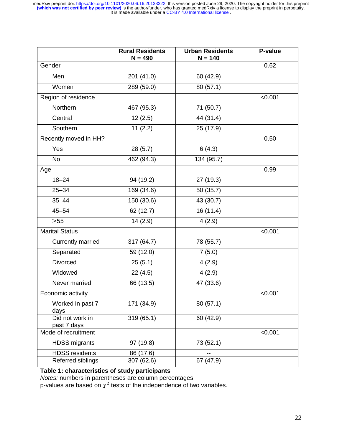|                                | <b>Rural Residents</b><br>$N = 490$ | <b>Urban Residents</b><br>$N = 140$ | P-value |
|--------------------------------|-------------------------------------|-------------------------------------|---------|
| Gender                         |                                     |                                     | 0.62    |
| Men                            | 201 (41.0)                          | 60 (42.9)                           |         |
| Women                          | 289 (59.0)                          | 80 (57.1)                           |         |
| Region of residence            |                                     |                                     | < 0.001 |
| Northern                       | 467 (95.3)                          | 71 (50.7)                           |         |
| Central                        | 12(2.5)                             | 44 (31.4)                           |         |
| Southern                       | 11(2.2)                             | 25 (17.9)                           |         |
| Recently moved in HH?          |                                     |                                     | 0.50    |
| Yes                            | 28 (5.7)                            | 6(4.3)                              |         |
| <b>No</b>                      | 462 (94.3)                          | 134 (95.7)                          |         |
| Age                            |                                     |                                     | 0.99    |
| $18 - 24$                      | 94 (19.2)                           | 27 (19.3)                           |         |
| $25 - 34$                      | 169 (34.6)                          | 50 (35.7)                           |         |
| $35 - 44$                      | 150 (30.6)                          | 43 (30.7)                           |         |
| $45 - 54$                      | 62 (12.7)                           | 16(11.4)                            |         |
| $\geq 55$                      | 14(2.9)                             | 4(2.9)                              |         |
| <b>Marital Status</b>          |                                     |                                     | < 0.001 |
| <b>Currently married</b>       | 317 (64.7)                          | 78 (55.7)                           |         |
| Separated                      | 59 (12.0)                           | 7(5.0)                              |         |
| Divorced                       | 25(5.1)                             | 4(2.9)                              |         |
| Widowed                        | 22 (4.5)                            | 4(2.9)                              |         |
| Never married                  | 66 (13.5)                           | 47 (33.6)                           |         |
| Economic activity              |                                     |                                     | < 0.001 |
| Worked in past 7<br>days       | 171 (34.9)                          | 80 (57.1)                           |         |
| Did not work in<br>past 7 days | 319 (65.1)                          | 60 (42.9)                           |         |
| Mode of recruitment            |                                     |                                     | < 0.001 |
| <b>HDSS migrants</b>           | 97 (19.8)                           | 73 (52.1)                           |         |
| <b>HDSS</b> residents          | 86 (17.6)                           |                                     |         |
| Referred siblings              | 307 (62.6)                          | 67 (47.9)                           |         |

**Table 1: characteristics of study participants** 

*Notes:* numbers in parentheses are column percentages

p-values are based on  $\chi^2$  tests of the independence of two variables.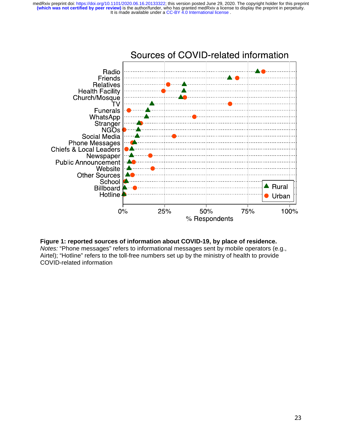

#### **Figure 1: reported sources of information about COVID-19, by place of residence.**

*Notes:* "Phone messages" refers to informational messages sent by mobile operators (e.g., Airtel); "Hotline" refers to the toll-free numbers set up by the ministry of health to provide COVID-related information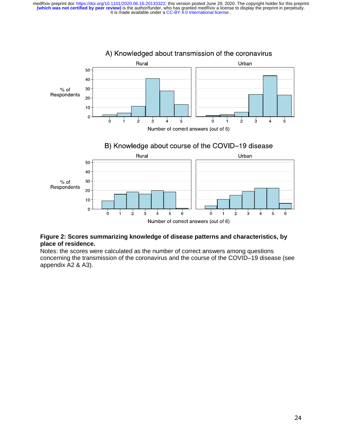

## **Figure 2: Scores summarizing knowledge of disease patterns and characteristics, by place of residence.**

Notes: the scores were calculated as the number of correct answers among questions concerning the transmission of the coronavirus and the course of the COVID–19 disease (see appendix A2 & A3).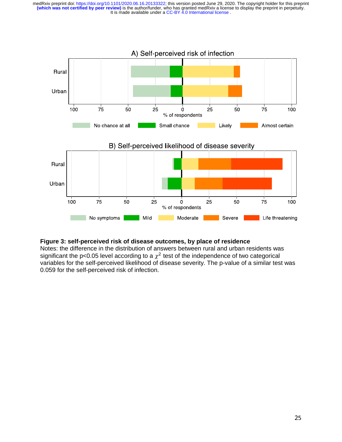

## **Figure 3: self-perceived risk of disease outcomes, by place of residence**

Notes: the difference in the distribution of answers between rural and urban residents was significant the p<0.05 level according to a  $\chi^2$  test of the independence of two categorical variables for the self-perceived likelihood of disease severity. The p-value of a similar test was 0.059 for the self-perceived risk of infection.